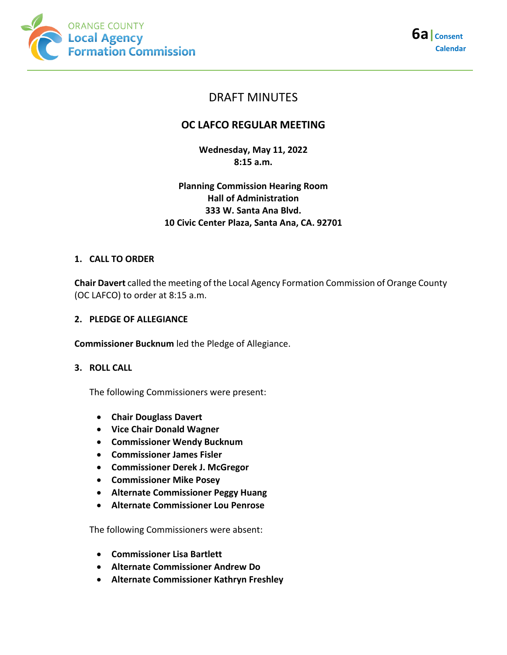



# DRAFT MINUTES

# **OC LAFCO REGULAR MEETING**

**Wednesday, May 11, 2022 8:15 a.m.**

# **Planning Commission Hearing Room Hall of Administration 333 W. Santa Ana Blvd. 10 Civic Center Plaza, Santa Ana, CA. 92701**

## **1. CALL TO ORDER**

**Chair Davert** called the meeting of the Local Agency Formation Commission of Orange County (OC LAFCO) to order at 8:15 a.m.

## **2. PLEDGE OF ALLEGIANCE**

**Commissioner Bucknum** led the Pledge of Allegiance.

## **3. ROLL CALL**

The following Commissioners were present:

- **Chair Douglass Davert**
- **Vice Chair Donald Wagner**
- **Commissioner Wendy Bucknum**
- **Commissioner James Fisler**
- **Commissioner Derek J. McGregor**
- **Commissioner Mike Posey**
- **Alternate Commissioner Peggy Huang**
- **Alternate Commissioner Lou Penrose**

The following Commissioners were absent:

- **Commissioner Lisa Bartlett**
- **Alternate Commissioner Andrew Do**
- **Alternate Commissioner Kathryn Freshley**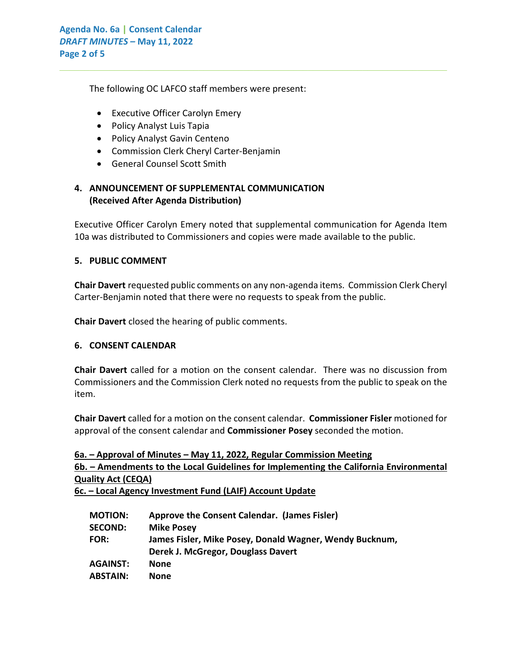The following OC LAFCO staff members were present:

- Executive Officer Carolyn Emery
- Policy Analyst Luis Tapia
- Policy Analyst Gavin Centeno
- Commission Clerk Cheryl Carter-Benjamin
- General Counsel Scott Smith

# **4. ANNOUNCEMENT OF SUPPLEMENTAL COMMUNICATION (Received After Agenda Distribution)**

Executive Officer Carolyn Emery noted that supplemental communication for Agenda Item 10a was distributed to Commissioners and copies were made available to the public.

 $\_$  , and the set of the set of the set of the set of the set of the set of the set of the set of the set of the set of the set of the set of the set of the set of the set of the set of the set of the set of the set of th

## **5. PUBLIC COMMENT**

**Chair Davert** requested public comments on any non-agenda items. Commission Clerk Cheryl Carter-Benjamin noted that there were no requests to speak from the public.

**Chair Davert** closed the hearing of public comments.

## **6. CONSENT CALENDAR**

**Chair Davert** called for a motion on the consent calendar. There was no discussion from Commissioners and the Commission Clerk noted no requests from the public to speak on the item.

**Chair Davert** called for a motion on the consent calendar. **Commissioner Fisler** motioned for approval of the consent calendar and **Commissioner Posey** seconded the motion.

| 6a. – Approval of Minutes – May 11, 2022, Regular Commission Meeting                   |
|----------------------------------------------------------------------------------------|
| 6b. – Amendments to the Local Guidelines for Implementing the California Environmental |
| <b>Quality Act (CEQA)</b>                                                              |
|                                                                                        |

**6c. – Local Agency Investment Fund (LAIF) Account Update**

| <b>MOTION:</b>  | Approve the Consent Calendar. (James Fisler)            |
|-----------------|---------------------------------------------------------|
| <b>SECOND:</b>  | <b>Mike Posey</b>                                       |
| <b>FOR:</b>     | James Fisler, Mike Posey, Donald Wagner, Wendy Bucknum, |
|                 | Derek J. McGregor, Douglass Davert                      |
| <b>AGAINST:</b> | None                                                    |
| <b>ABSTAIN:</b> | None                                                    |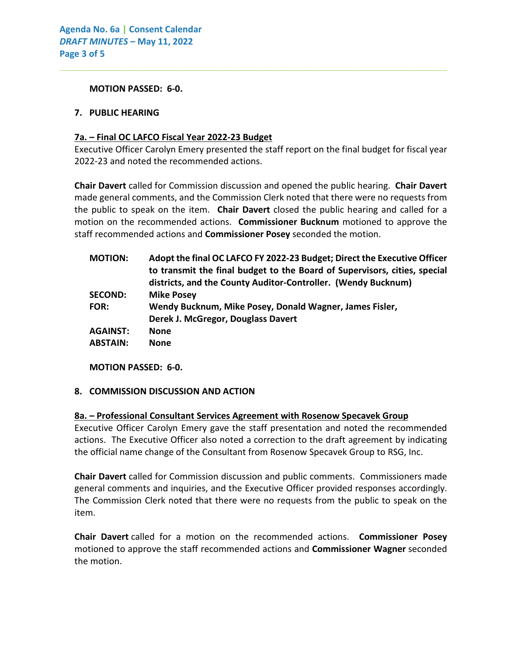**MOTION PASSED: 6-0.**

#### **7. PUBLIC HEARING**

#### **7a. – Final OC LAFCO Fiscal Year 2022-23 Budget**

Executive Officer Carolyn Emery presented the staff report on the final budget for fiscal year 2022-23 and noted the recommended actions.

 $\_$  , and the set of the set of the set of the set of the set of the set of the set of the set of the set of the set of the set of the set of the set of the set of the set of the set of the set of the set of the set of th

**Chair Davert** called for Commission discussion and opened the public hearing. **Chair Davert** made general comments, and the Commission Clerk noted that there were no requests from the public to speak on the item. **Chair Davert** closed the public hearing and called for a motion on the recommended actions. **Commissioner Bucknum** motioned to approve the staff recommended actions and **Commissioner Posey** seconded the motion.

| <b>MOTION:</b>  | Adopt the final OC LAFCO FY 2022-23 Budget; Direct the Executive Officer<br>to transmit the final budget to the Board of Supervisors, cities, special<br>districts, and the County Auditor-Controller. (Wendy Bucknum) |
|-----------------|------------------------------------------------------------------------------------------------------------------------------------------------------------------------------------------------------------------------|
| <b>SECOND:</b>  | <b>Mike Posey</b>                                                                                                                                                                                                      |
| <b>FOR:</b>     | Wendy Bucknum, Mike Posey, Donald Wagner, James Fisler,                                                                                                                                                                |
|                 | Derek J. McGregor, Douglass Davert                                                                                                                                                                                     |
| <b>AGAINST:</b> | <b>None</b>                                                                                                                                                                                                            |
| <b>ABSTAIN:</b> | <b>None</b>                                                                                                                                                                                                            |
|                 |                                                                                                                                                                                                                        |

**MOTION PASSED: 6-0.**

## **8. COMMISSION DISCUSSION AND ACTION**

#### **8a. – Professional Consultant Services Agreement with Rosenow Specavek Group**

Executive Officer Carolyn Emery gave the staff presentation and noted the recommended actions. The Executive Officer also noted a correction to the draft agreement by indicating the official name change of the Consultant from Rosenow Specavek Group to RSG, Inc.

**Chair Davert** called for Commission discussion and public comments. Commissioners made general comments and inquiries, and the Executive Officer provided responses accordingly. The Commission Clerk noted that there were no requests from the public to speak on the item.

**Chair Davert** called for a motion on the recommended actions. **Commissioner Posey** motioned to approve the staff recommended actions and **Commissioner Wagner** seconded the motion.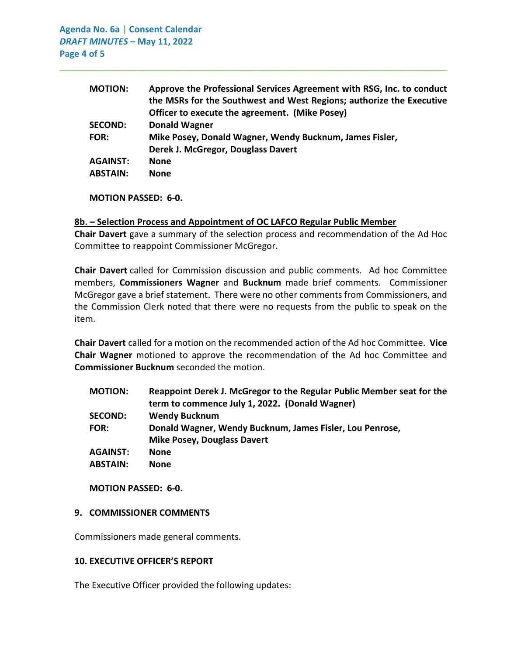**Agenda No. 6a | Consent Calendar** *DRAFT MINUTES –* **May 11, 2022 Page 4 of 5**

| <b>MOTION:</b>  | Approve the Professional Services Agreement with RSG, Inc. to conduct |
|-----------------|-----------------------------------------------------------------------|
|                 | the MSRs for the Southwest and West Regions; authorize the Executive  |
|                 | Officer to execute the agreement. (Mike Posey)                        |
| <b>SECOND:</b>  | <b>Donald Wagner</b>                                                  |
| <b>FOR:</b>     | Mike Posey, Donald Wagner, Wendy Bucknum, James Fisler,               |
|                 | Derek J. McGregor, Douglass Davert                                    |
| <b>AGAINST:</b> | <b>None</b>                                                           |
| <b>ABSTAIN:</b> | <b>None</b>                                                           |
|                 |                                                                       |

 $\_$  , and the set of the set of the set of the set of the set of the set of the set of the set of the set of the set of the set of the set of the set of the set of the set of the set of the set of the set of the set of th

**MOTION PASSED: 6-0.**

#### **8b. – Selection Process and Appointment of OC LAFCO Regular Public Member**

**Chair Davert** gave a summary of the selection process and recommendation of the Ad Hoc Committee to reappoint Commissioner McGregor.

**Chair Davert** called for Commission discussion and public comments. Ad hoc Committee members, **Commissioners Wagner** and **Bucknum** made brief comments. Commissioner McGregor gave a brief statement. There were no other comments from Commissioners, and the Commission Clerk noted that there were no requests from the public to speak on the item.

**Chair Davert** called for a motion on the recommended action of the Ad hoc Committee. **Vice Chair Wagner** motioned to approve the recommendation of the Ad hoc Committee and **Commissioner Bucknum** seconded the motion.

| <b>MOTION:</b>  | Reappoint Derek J. McGregor to the Regular Public Member seat for the |
|-----------------|-----------------------------------------------------------------------|
|                 | term to commence July 1, 2022. (Donald Wagner)                        |
| <b>SECOND:</b>  | <b>Wendy Bucknum</b>                                                  |
| <b>FOR:</b>     | Donald Wagner, Wendy Bucknum, James Fisler, Lou Penrose,              |
|                 | <b>Mike Posey, Douglass Davert</b>                                    |
| <b>AGAINST:</b> | <b>None</b>                                                           |
| <b>ABSTAIN:</b> | <b>None</b>                                                           |
|                 |                                                                       |

**MOTION PASSED: 6-0.**

#### **9. COMMISSIONER COMMENTS**

Commissioners made general comments.

#### **10. EXECUTIVE OFFICER'S REPORT**

The Executive Officer provided the following updates: